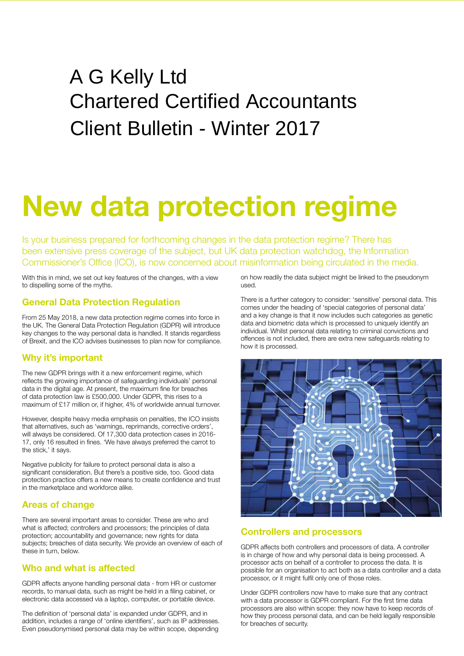# A G Kelly Ltd Chartered Certified Accountants Client Bulletin - Winter 2017

# **New data protection regime**

Is your business prepared for forthcoming changes in the data protection regime? There has been extensive press coverage of the subject, but UK data protection watchdog, the Information Commissioner's Office (ICO), is now concerned about misinformation being circulated in the media.

With this in mind, we set out key features of the changes, with a view to dispelling some of the myths.

### **General Data Protection Regulation**

From 25 May 2018, a new data protection regime comes into force in the UK. The General Data Protection Regulation (GDPR) will introduce key changes to the way personal data is handled. It stands regardless of Brexit, and the ICO advises businesses to plan now for compliance.

# **Why it's important**

The new GDPR brings with it a new enforcement regime, which reflects the growing importance of safeguarding individuals' personal data in the digital age. At present, the maximum fine for breaches of data protection law is £500,000. Under GDPR, this rises to a maximum of £17 million or, if higher, 4% of worldwide annual turnover.

However, despite heavy media emphasis on penalties, the ICO insists that alternatives, such as 'warnings, reprimands, corrective orders', will always be considered. Of 17,300 data protection cases in 2016- 17, only 16 resulted in fines. 'We have always preferred the carrot to the stick,' it says.

Negative publicity for failure to protect personal data is also a significant consideration. But there's a positive side, too. Good data protection practice offers a new means to create confidence and trust in the marketplace and workforce alike.

# **Areas of change**

There are several important areas to consider. These are who and what is affected; controllers and processors; the principles of data protection; accountability and governance; new rights for data subjects; breaches of data security. We provide an overview of each of these in turn, below.

# **Who and what is affected**

GDPR affects anyone handling personal data - from HR or customer records, to manual data, such as might be held in a filing cabinet, or electronic data accessed via a laptop, computer, or portable device.

The definition of 'personal data' is expanded under GDPR, and in addition, includes a range of 'online identifiers', such as IP addresses. Even pseudonymised personal data may be within scope, depending on how readily the data subject might be linked to the pseudonym used.

There is a further category to consider: 'sensitive' personal data. This comes under the heading of 'special categories of personal data' and a key change is that it now includes such categories as genetic data and biometric data which is processed to uniquely identify an individual. Whilst personal data relating to criminal convictions and offences is not included, there are extra new safeguards relating to how it is processed.



# **Controllers and processors**

GDPR affects both controllers and processors of data. A controller is in charge of how and why personal data is being processed. A processor acts on behalf of a controller to process the data. It is possible for an organisation to act both as a data controller and a data processor, or it might fulfil only one of those roles.

Under GDPR controllers now have to make sure that any contract with a data processor is GDPR compliant. For the first time data processors are also within scope: they now have to keep records of how they process personal data, and can be held legally responsible for breaches of security.